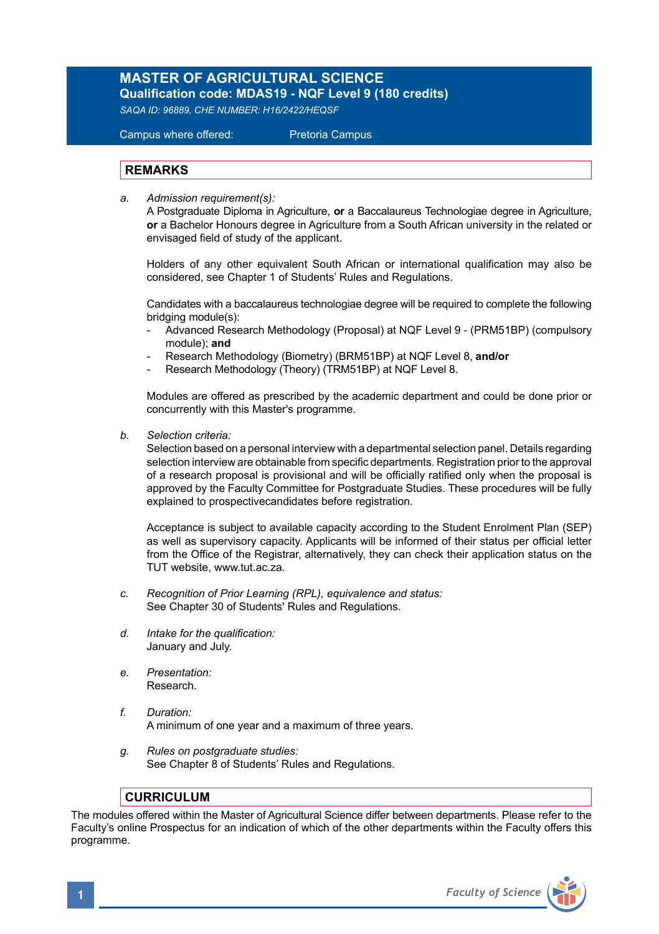## **MASTER OF AGRICULTURAL SCIENCE**

**Qualification code: MDAS19 - NQF Level 9 (180 credits)**  *SAQA ID: 96889, CHE NUMBER: H16/2422/HEQSF* 

Campus where offered: Pretoria Campus

## **REMARKS**

*a. Admission requirement(s):*

A Postgraduate Diploma in Agriculture, **or** a Baccalaureus Technologiae degree in Agriculture, **or** a Bachelor Honours degree in Agriculture from a South African university in the related or envisaged field of study of the applicant.

Holders of any other equivalent South African or international qualification may also be considered, see Chapter 1 of Students' Rules and Regulations.

 Candidates with a baccalaureus technologiae degree will be required to complete the following bridging module(s):

- Advanced Research Methodology (Proposal) at NQF Level 9 (PRM51BP) (compulsory module); **and**
- Research Methodology (Biometry) (BRM51BP) at NQF Level 8, **and/or**
- Research Methodology (Theory) (TRM51BP) at NQF Level 8.

Modules are offered as prescribed by the academic department and could be done prior or concurrently with this Master's programme.

*b. Selection criteria:*

Selection based on a personal interview with a departmental selection panel. Details regarding selection interview are obtainable from specific departments. Registration prior to the approval of a research proposal is provisional and will be officially ratified only when the proposal is approved by the Faculty Committee for Postgraduate Studies. These procedures will be fully explained to prospectivecandidates before registration.

Acceptance is subject to available capacity according to the Student Enrolment Plan (SEP) as well as supervisory capacity. Applicants will be informed of their status per official letter from the Office of the Registrar, alternatively, they can check their application status on the TUT website, www.tut.ac.za.

- *c. Recognition of Prior Learning (RPL), equivalence and status:* See Chapter 30 of Students' Rules and Regulations.
- *d. Intake for the qualification:* January and July.
- *e. Presentation:* Research.
- *f. Duration:*  A minimum of one year and a maximum of three years.
- *g. Rules on postgraduate studies:* See Chapter 8 of Students' Rules and Regulations.

## **CURRICULUM**

The modules offered within the Master of Agricultural Science differ between departments. Please refer to the Faculty's online Prospectus for an indication of which of the other departments within the Faculty offers this programme.